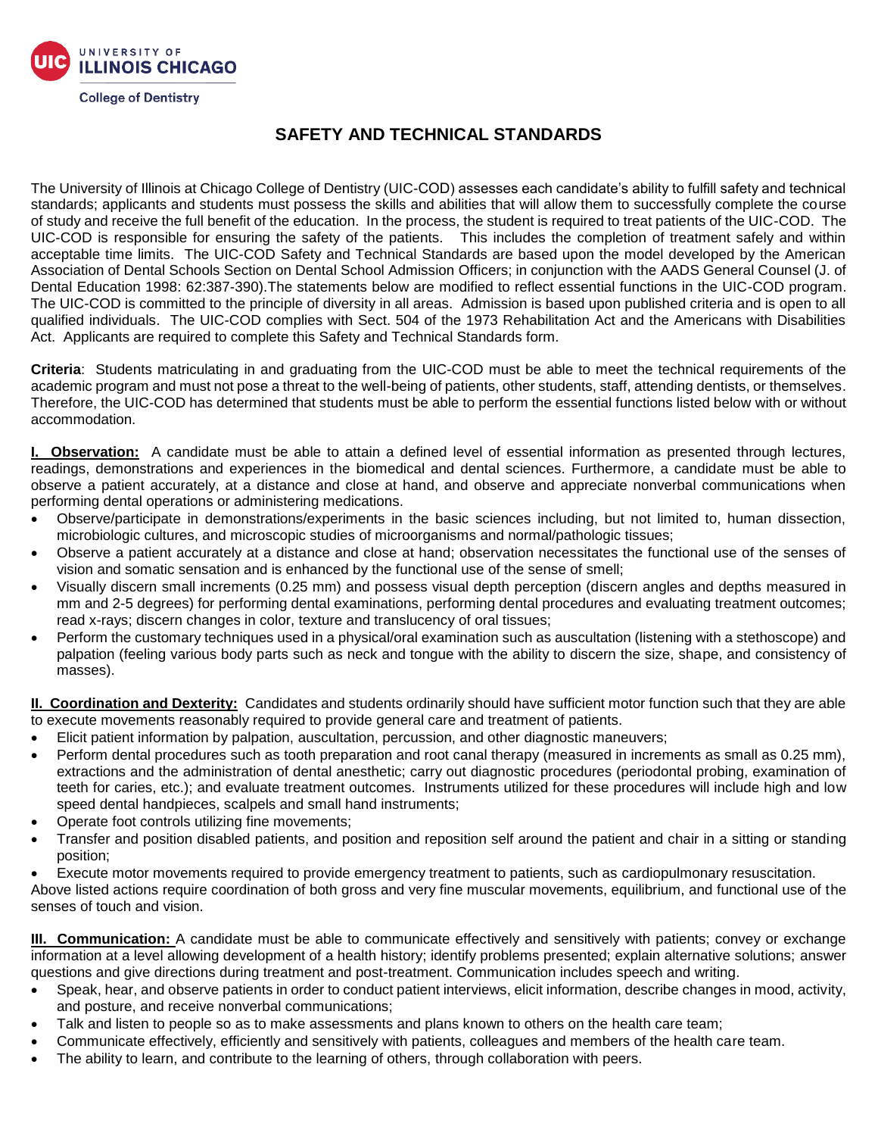

## **SAFETY AND TECHNICAL STANDARDS**

The University of Illinois at Chicago College of Dentistry (UIC-COD) assesses each candidate's ability to fulfill safety and technical standards; applicants and students must possess the skills and abilities that will allow them to successfully complete the course of study and receive the full benefit of the education. In the process, the student is required to treat patients of the UIC-COD. The UIC-COD is responsible for ensuring the safety of the patients. This includes the completion of treatment safely and within acceptable time limits. The UIC-COD Safety and Technical Standards are based upon the model developed by the American Association of Dental Schools Section on Dental School Admission Officers; in conjunction with the AADS General Counsel (J. of Dental Education 1998: 62:387-390).The statements below are modified to reflect essential functions in the UIC-COD program. The UIC-COD is committed to the principle of diversity in all areas. Admission is based upon published criteria and is open to all qualified individuals. The UIC-COD complies with Sect. 504 of the 1973 Rehabilitation Act and the Americans with Disabilities Act. Applicants are required to complete this Safety and Technical Standards form.

**Criteria**: Students matriculating in and graduating from the UIC-COD must be able to meet the technical requirements of the academic program and must not pose a threat to the well-being of patients, other students, staff, attending dentists, or themselves. Therefore, the UIC-COD has determined that students must be able to perform the essential functions listed below with or without accommodation.

**I. Observation:** A candidate must be able to attain a defined level of essential information as presented through lectures, readings, demonstrations and experiences in the biomedical and dental sciences. Furthermore, a candidate must be able to observe a patient accurately, at a distance and close at hand, and observe and appreciate nonverbal communications when performing dental operations or administering medications.

- Observe/participate in demonstrations/experiments in the basic sciences including, but not limited to, human dissection, microbiologic cultures, and microscopic studies of microorganisms and normal/pathologic tissues;
- Observe a patient accurately at a distance and close at hand; observation necessitates the functional use of the senses of vision and somatic sensation and is enhanced by the functional use of the sense of smell;
- Visually discern small increments (0.25 mm) and possess visual depth perception (discern angles and depths measured in mm and 2-5 degrees) for performing dental examinations, performing dental procedures and evaluating treatment outcomes; read x-rays; discern changes in color, texture and translucency of oral tissues;
- Perform the customary techniques used in a physical/oral examination such as auscultation (listening with a stethoscope) and palpation (feeling various body parts such as neck and tongue with the ability to discern the size, shape, and consistency of masses).

**II. Coordination and Dexterity:** Candidates and students ordinarily should have sufficient motor function such that they are able to execute movements reasonably required to provide general care and treatment of patients.

- Elicit patient information by palpation, auscultation, percussion, and other diagnostic maneuvers;
- Perform dental procedures such as tooth preparation and root canal therapy (measured in increments as small as 0.25 mm), extractions and the administration of dental anesthetic; carry out diagnostic procedures (periodontal probing, examination of teeth for caries, etc.); and evaluate treatment outcomes. Instruments utilized for these procedures will include high and low speed dental handpieces, scalpels and small hand instruments;
- Operate foot controls utilizing fine movements;
- Transfer and position disabled patients, and position and reposition self around the patient and chair in a sitting or standing position;
- Execute motor movements required to provide emergency treatment to patients, such as cardiopulmonary resuscitation.

Above listed actions require coordination of both gross and very fine muscular movements, equilibrium, and functional use of the senses of touch and vision.

**III. Communication:** A candidate must be able to communicate effectively and sensitively with patients; convey or exchange information at a level allowing development of a health history; identify problems presented; explain alternative solutions; answer questions and give directions during treatment and post-treatment. Communication includes speech and writing.

- Speak, hear, and observe patients in order to conduct patient interviews, elicit information, describe changes in mood, activity, and posture, and receive nonverbal communications;
- Talk and listen to people so as to make assessments and plans known to others on the health care team;
- Communicate effectively, efficiently and sensitively with patients, colleagues and members of the health care team.
- The ability to learn, and contribute to the learning of others, through collaboration with peers.